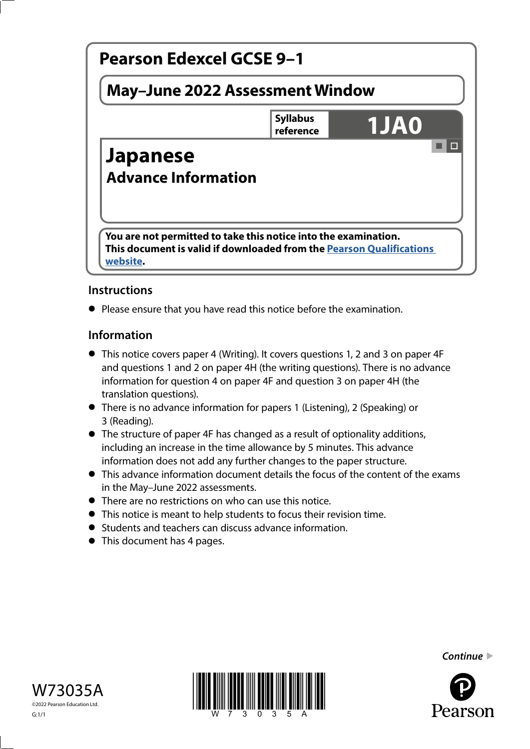

# **Instructions**

**•** Please ensure that you have read this notice before the examination.

### **Information**

- This notice covers paper 4 (Writing). It covers questions 1, 2 and 3 on paper 4F and questions 1 and 2 on paper 4H (the writing questions). There is no advance information for question 4 on paper 4F and question 3 on paper 4H (the translation questions).
- There is no advance information for papers 1 (Listening), 2 (Speaking) or 3 (Reading).
- The structure of paper 4F has changed as a result of optionality additions, including an increase in the time allowance by 5 minutes. This advance information does not add any further changes to the paper structure.
- This advance information document details the focus of the content of the exams in the May–June 2022 assessments.
- There are no restrictions on who can use this notice.
- This notice is meant to help students to focus their revision time.
- Students and teachers can discuss advance information.
- Students and teachers can develop to This document has 4 pages.





*Continue* 

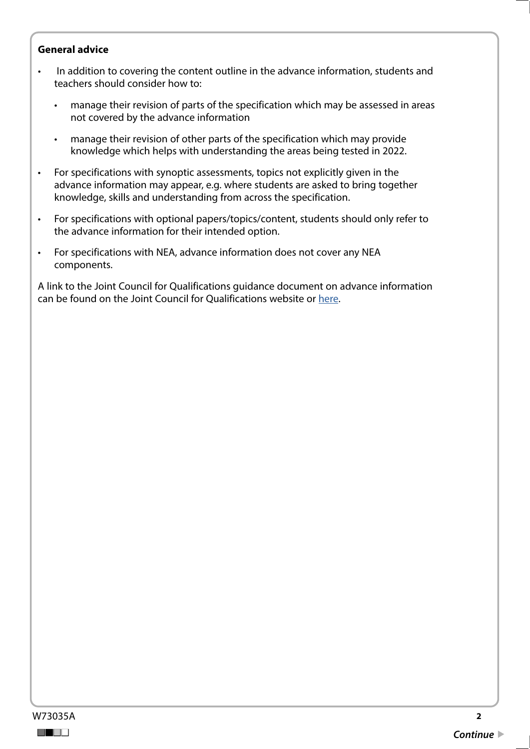#### **General advice**

- In addition to covering the content outline in the advance information, students and teachers should consider how to:
	- manage their revision of parts of the specification which may be assessed in areas not covered by the advance information
	- manage their revision of other parts of the specification which may provide knowledge which helps with understanding the areas being tested in 2022.
- For specifications with synoptic assessments, topics not explicitly given in the advance information may appear, e.g. where students are asked to bring together knowledge, skills and understanding from across the specification.
- For specifications with optional papers/topics/content, students should only refer to the advance information for their intended option.
- For specifications with NEA, advance information does not cover any NEA components.

A link to the Joint Council for Qualifications guidance document on advance information can be found on the Joint Council for Qualifications website or [here](https://www.jcq.org.uk/wp-content/uploads/2021/10/Advance-Information-for-General-Qualifications-2021-22.pdf).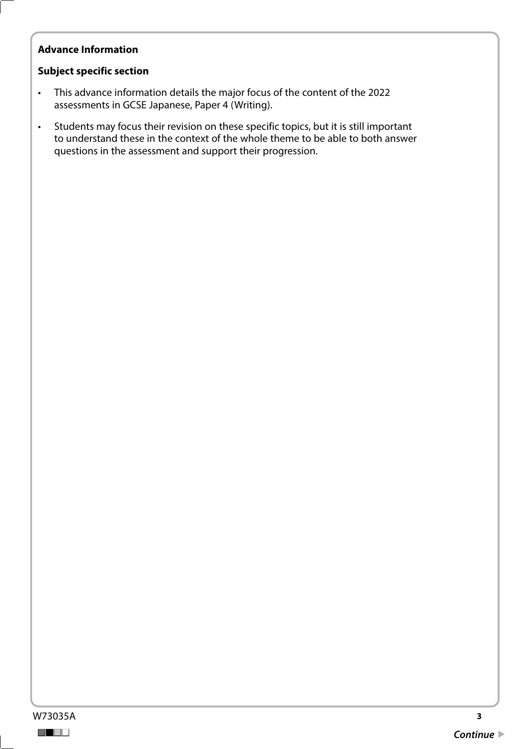## **Advance Information**

#### **Subject specific section**

- This advance information details the major focus of the content of the 2022 assessments in GCSE Japanese, Paper 4 (Writing).
- Students may focus their revision on these specific topics, but it is still important to understand these in the context of the whole theme to be able to both answer questions in the assessment and support their progression.